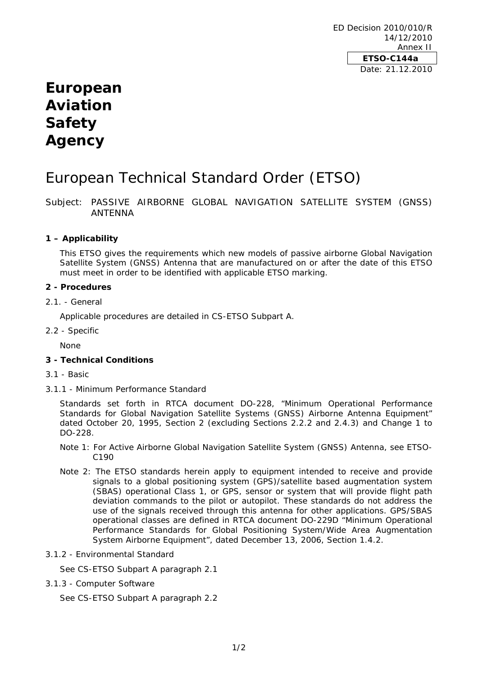## **European Aviation Safety Agency**

# European Technical Standard Order (ETSO)

Subject: PASSIVE AIRBORNE GLOBAL NAVIGATION SATELLITE SYSTEM (GNSS) ANTENNA

## **1 – Applicability**

This ETSO gives the requirements which new models of passive airborne Global Navigation Satellite System (GNSS) Antenna that are manufactured on or after the date of this ETSO must meet in order to be identified with applicable ETSO marking.

#### **2 - Procedures**

#### 2.1. - General

Applicable procedures are detailed in CS-ETSO Subpart A.

2.2 - Specific

None

## **3 - Technical Conditions**

- 3.1 Basic
- 3.1.1 Minimum Performance Standard

Standards set forth in RTCA document DO-228, "Minimum Operational Performance Standards for Global Navigation Satellite Systems (GNSS) Airborne Antenna Equipment" dated October 20, 1995, Section 2 (excluding Sections 2.2.2 and 2.4.3) and Change 1 to DO-228.

- Note 1: For Active Airborne Global Navigation Satellite System (GNSS) Antenna, see ETSO-C190
- Note 2: The ETSO standards herein apply to equipment intended to receive and provide signals to a global positioning system (GPS)/satellite based augmentation system (SBAS) operational Class 1, or GPS, sensor or system that will provide flight path deviation commands to the pilot or autopilot. These standards do not address the use of the signals received through this antenna for other applications. GPS/SBAS operational classes are defined in RTCA document DO-229D "Minimum Operational Performance Standards for Global Positioning System/Wide Area Augmentation System Airborne Equipment", dated December 13, 2006, Section 1.4.2.
- 3.1.2 Environmental Standard

See CS-ETSO Subpart A paragraph 2.1

3.1.3 - Computer Software

See CS-ETSO Subpart A paragraph 2.2